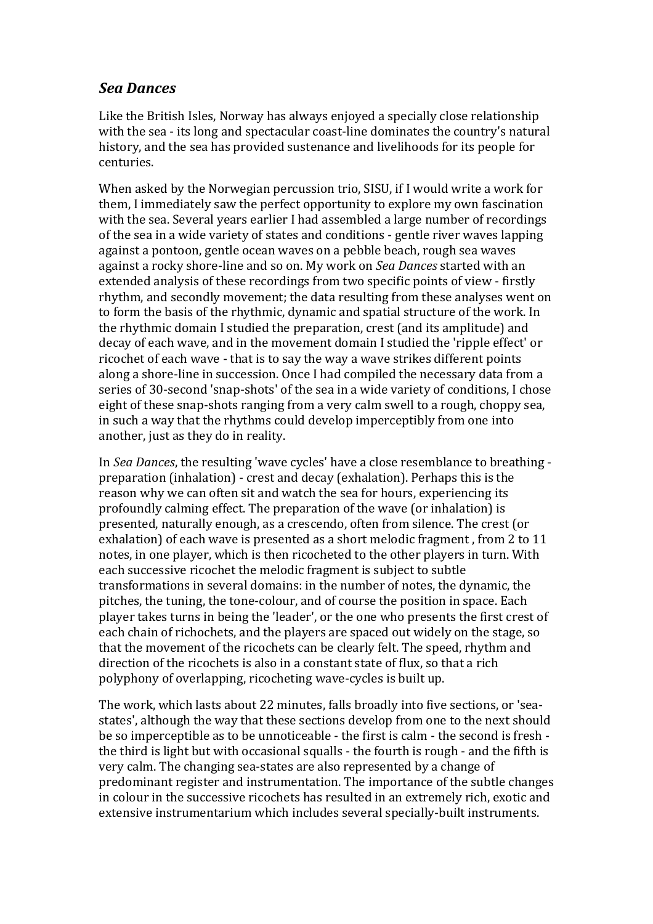## *Sea\$Dances*

Like the British Isles, Norway has always enjoyed a specially close relationship with the sea - its long and spectacular coast-line dominates the country's natural history, and the sea has provided sustenance and livelihoods for its people for centuries.

When asked by the Norwegian percussion trio, SISU, if I would write a work for them, I immediately saw the perfect opportunity to explore my own fascination with the sea. Several years earlier I had assembled a large number of recordings of the sea in a wide variety of states and conditions - gentle river waves lapping against a pontoon, gentle ocean waves on a pebble beach, rough sea waves against a rocky shore-line and so on. My work on *Sea Dances* started with an extended analysis of these recordings from two specific points of view - firstly rhythm, and secondly movement; the data resulting from these analyses went on to form the basis of the rhythmic, dynamic and spatial structure of the work. In the rhythmic domain I studied the preparation, crest (and its amplitude) and decay of each wave, and in the movement domain I studied the 'ripple effect' or ricochet of each wave - that is to say the way a wave strikes different points along a shore-line in succession. Once I had compiled the necessary data from a series of 30-second 'snap-shots' of the sea in a wide variety of conditions, I chose eight of these snap-shots ranging from a very calm swell to a rough, choppy sea, in such a way that the rhythms could develop imperceptibly from one into another, just as they do in reality.

In *Sea Dances*, the resulting 'wave cycles' have a close resemblance to breathing preparation (inhalation) - crest and decay (exhalation). Perhaps this is the reason why we can often sit and watch the sea for hours, experiencing its profoundly calming effect. The preparation of the wave (or inhalation) is presented, naturally enough, as a crescendo, often from silence. The crest (or exhalation) of each wave is presented as a short melodic fragment, from 2 to 11 notes, in one player, which is then ricocheted to the other players in turn. With each successive ricochet the melodic fragment is subject to subtle transformations in several domains: in the number of notes, the dynamic, the pitches, the tuning, the tone-colour, and of course the position in space. Each player takes turns in being the 'leader', or the one who presents the first crest of each chain of richochets, and the players are spaced out widely on the stage, so that the movement of the ricochets can be clearly felt. The speed, rhythm and direction of the ricochets is also in a constant state of flux, so that a rich polyphony of overlapping, ricocheting wave-cycles is built up.

The work, which lasts about 22 minutes, falls broadly into five sections, or 'seastates', although the way that these sections develop from one to the next should be so imperceptible as to be unnoticeable - the first is calm - the second is fresh the third is light but with occasional squalls - the fourth is rough - and the fifth is very calm. The changing sea-states are also represented by a change of predominant register and instrumentation. The importance of the subtle changes in colour in the successive ricochets has resulted in an extremely rich, exotic and extensive instrumentarium which includes several specially-built instruments.